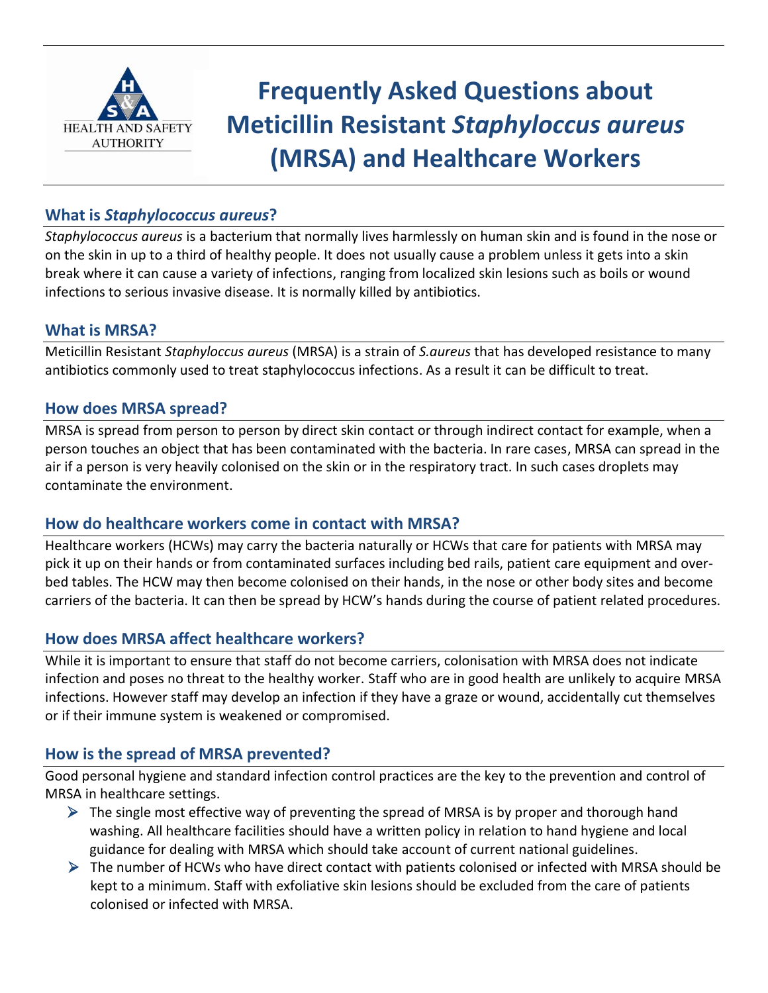

# **Frequently Asked Questions about Meticillin Resistant** *Staphyloccus aureus* **(MRSA) and Healthcare Workers**

## **What is** *Staphylococcus aureus***?**

*Staphylococcus aureus* is a bacterium that normally lives harmlessly on human skin and is found in the nose or on the skin in up to a third of healthy people. It does not usually cause a problem unless it gets into a skin break where it can cause a variety of infections, ranging from localized skin lesions such as boils or wound infections to serious invasive disease. It is normally killed by antibiotics.

#### **What is MRSA?**

Meticillin Resistant *Staphyloccus aureus* (MRSA) is a strain of *S.aureus* that has developed resistance to many antibiotics commonly used to treat staphylococcus infections. As a result it can be difficult to treat.

#### **How does MRSA spread?**

MRSA is spread from person to person by direct skin contact or through indirect contact for example, when a person touches an object that has been contaminated with the bacteria. In rare cases, MRSA can spread in the air if a person is very heavily colonised on the skin or in the respiratory tract. In such cases droplets may contaminate the environment.

#### **How do healthcare workers come in contact with MRSA?**

Healthcare workers (HCWs) may carry the bacteria naturally or HCWs that care for patients with MRSA may pick it up on their hands or from contaminated surfaces including bed rails, patient care equipment and overbed tables. The HCW may then become colonised on their hands, in the nose or other body sites and become carriers of the bacteria. It can then be spread by HCW's hands during the course of patient related procedures.

### **How does MRSA affect healthcare workers?**

While it is important to ensure that staff do not become carriers, colonisation with MRSA does not indicate infection and poses no threat to the healthy worker. Staff who are in good health are unlikely to acquire MRSA infections. However staff may develop an infection if they have a graze or wound, accidentally cut themselves or if their immune system is weakened or compromised.

### **How is the spread of MRSA prevented?**

Good personal hygiene and standard infection control practices are the key to the prevention and control of MRSA in healthcare settings.

- $\triangleright$  The single most effective way of preventing the spread of MRSA is by proper and thorough hand washing. All healthcare facilities should have a written policy in relation to hand hygiene and local guidance for dealing with MRSA which should take account of current national guidelines.
- $\triangleright$  The number of HCWs who have direct contact with patients colonised or infected with MRSA should be kept to a minimum. Staff with exfoliative skin lesions should be excluded from the care of patients colonised or infected with MRSA.